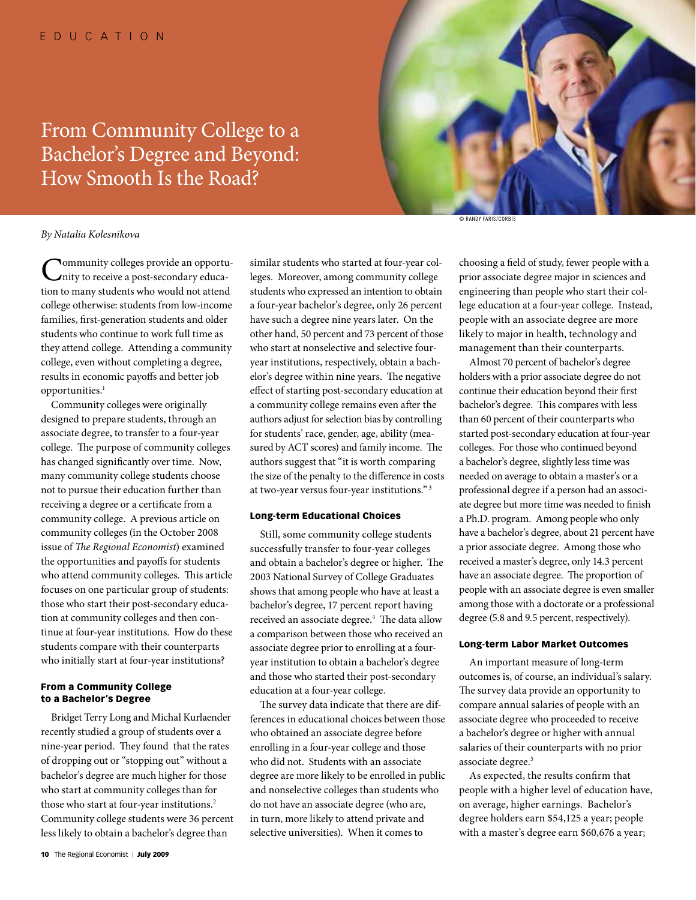# From Community College to a Bachelor's Degree and Beyond: How Smooth Is the Road?



## *By Natalia Kolesnikova*

**Nommunity colleges provide an opportu**nity to receive a post-secondary education to many students who would not attend college otherwise: students from low-income families, first-generation students and older students who continue to work full time as they attend college. Attending a community college, even without completing a degree, results in economic payoffs and better job opportunities.<sup>1</sup>

Community colleges were originally designed to prepare students, through an associate degree, to transfer to a four-year college. The purpose of community colleges has changed significantly over time. Now, many community college students choose not to pursue their education further than receiving a degree or a certificate from a community college. A previous article on community colleges (in the October 2008 issue of *The Regional Economist*) examined the opportunities and payoffs for students who attend community colleges. This article focuses on one particular group of students: those who start their post-secondary education at community colleges and then continue at four-year institutions. How do these students compare with their counterparts who initially start at four-year institutions?

## From a Community College to a Bachelor's Degree

Bridget Terry Long and Michal Kurlaender recently studied a group of students over a nine-year period. They found that the rates of dropping out or "stopping out" without a bachelor's degree are much higher for those who start at community colleges than for those who start at four-year institutions.<sup>2</sup> Community college students were 36 percent less likely to obtain a bachelor's degree than

similar students who started at four-year colleges. Moreover, among community college students who expressed an intention to obtain a four-year bachelor's degree, only 26 percent have such a degree nine years later. On the other hand, 50 percent and 73 percent of those who start at nonselective and selective fouryear institutions, respectively, obtain a bachelor's degree within nine years. The negative effect of starting post-secondary education at a community college remains even after the authors adjust for selection bias by controlling for students' race, gender, age, ability (measured by ACT scores) and family income. The authors suggest that "it is worth comparing the size of the penalty to the difference in costs at two-year versus four-year institutions." 3

### Long-term Educational Choices

Still, some community college students successfully transfer to four-year colleges and obtain a bachelor's degree or higher. The 2003 National Survey of College Graduates shows that among people who have at least a bachelor's degree, 17 percent report having received an associate degree.<sup>4</sup> The data allow a comparison between those who received an associate degree prior to enrolling at a fouryear institution to obtain a bachelor's degree and those who started their post-secondary education at a four-year college.

The survey data indicate that there are differences in educational choices between those who obtained an associate degree before enrolling in a four-year college and those who did not. Students with an associate degree are more likely to be enrolled in public and nonselective colleges than students who do not have an associate degree (who are, in turn, more likely to attend private and selective universities). When it comes to

© Randy Faris/Corbis

choosing a field of study, fewer people with a prior associate degree major in sciences and engineering than people who start their college education at a four-year college. Instead, people with an associate degree are more likely to major in health, technology and management than their counterparts.

Almost 70 percent of bachelor's degree holders with a prior associate degree do not continue their education beyond their first bachelor's degree. This compares with less than 60 percent of their counterparts who started post-secondary education at four-year colleges. For those who continued beyond a bachelor's degree, slightly less time was needed on average to obtain a master's or a professional degree if a person had an associate degree but more time was needed to finish a Ph.D. program. Among people who only have a bachelor's degree, about 21 percent have a prior associate degree. Among those who received a master's degree, only 14.3 percent have an associate degree. The proportion of people with an associate degree is even smaller among those with a doctorate or a professional degree (5.8 and 9.5 percent, respectively).

### Long-term Labor Market Outcomes

An important measure of long-term outcomes is, of course, an individual's salary. The survey data provide an opportunity to compare annual salaries of people with an associate degree who proceeded to receive a bachelor's degree or higher with annual salaries of their counterparts with no prior associate degree.<sup>5</sup>

As expected, the results confirm that people with a higher level of education have, on average, higher earnings. Bachelor's degree holders earn \$54,125 a year; people with a master's degree earn \$60,676 a year;